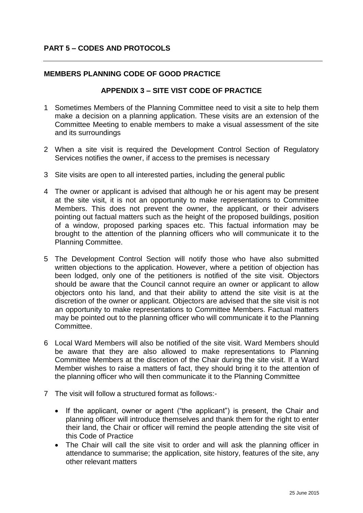## **PART 5 – CODES AND PROTOCOLS**

## **MEMBERS PLANNING CODE OF GOOD PRACTICE**

## **APPENDIX 3 – SITE VIST CODE OF PRACTICE**

- 1 Sometimes Members of the Planning Committee need to visit a site to help them make a decision on a planning application. These visits are an extension of the Committee Meeting to enable members to make a visual assessment of the site and its surroundings
- 2 When a site visit is required the Development Control Section of Regulatory Services notifies the owner, if access to the premises is necessary
- 3 Site visits are open to all interested parties, including the general public
- 4 The owner or applicant is advised that although he or his agent may be present at the site visit, it is not an opportunity to make representations to Committee Members. This does not prevent the owner, the applicant, or their advisers pointing out factual matters such as the height of the proposed buildings, position of a window, proposed parking spaces etc. This factual information may be brought to the attention of the planning officers who will communicate it to the Planning Committee.
- 5 The Development Control Section will notify those who have also submitted written objections to the application. However, where a petition of objection has been lodged, only one of the petitioners is notified of the site visit. Objectors should be aware that the Council cannot require an owner or applicant to allow objectors onto his land, and that their ability to attend the site visit is at the discretion of the owner or applicant. Objectors are advised that the site visit is not an opportunity to make representations to Committee Members. Factual matters may be pointed out to the planning officer who will communicate it to the Planning Committee.
- 6 Local Ward Members will also be notified of the site visit. Ward Members should be aware that they are also allowed to make representations to Planning Committee Members at the discretion of the Chair during the site visit. If a Ward Member wishes to raise a matters of fact, they should bring it to the attention of the planning officer who will then communicate it to the Planning Committee
- 7 The visit will follow a structured format as follows:-
	- If the applicant, owner or agent ("the applicant") is present, the Chair and planning officer will introduce themselves and thank them for the right to enter their land, the Chair or officer will remind the people attending the site visit of this Code of Practice
	- The Chair will call the site visit to order and will ask the planning officer in attendance to summarise; the application, site history, features of the site, any other relevant matters